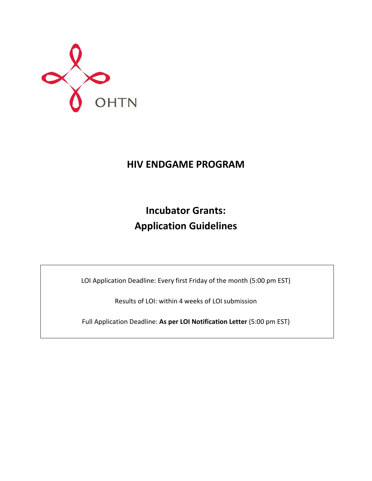

# **HIV ENDGAME PROGRAM**

# **Incubator Grants: Application Guidelines**

LOI Application Deadline: Every first Friday of the month (5:00 pm EST)

Results of LOI: within 4 weeks of LOI submission

Full Application Deadline: **As per LOI Notification Letter** (5:00 pm EST)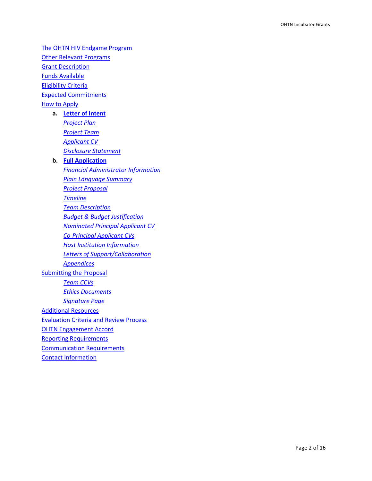[The OHTN HIV Endgame Program](#page-2-0) [Other Relevant Programs](#page-4-0) **Grant [Description](#page-3-0)** [Funds Available](#page-4-1) [Eligibility Criteria](#page-5-0) [Expected Commitments](#page-5-1) [How to Apply](#page-6-0)

**a. [Letter of Intent](#page-6-1)**

*[Project Plan](#page-6-2) Project [Team](#page-7-0) [Applicant](#page-7-1) CV [Disclosure Statement](#page-7-2)*

#### **b. [Full Application](#page-7-3)**

*[Financial Administrator Information](#page-8-0) [Plain Language Summary](#page-8-1) [Project Proposal](#page-8-2) [Timeline](#page-9-0) [Team Description](#page-9-1) [Budget & Budget Justification](#page-9-2) [Nominated Principal Applicant](#page-10-0) CV [Co-Principal Applicant](#page-10-1) CVs [Host Institution Information](#page-10-2) [Letters of Support/Collaboration](#page-10-3) [Appendices](#page-10-3)* **[Submitting the Proposal](#page-11-0)** *[Team CCVs](#page-11-1) [Ethics Documents](#page-11-2) [Signature Page](#page-11-3)* [Additional Resources](#page-11-4) [Evaluation Criteria and Review Process](#page-11-4) [OHTN Engagement Accord](#page-12-0) [Reporting Requirements](#page-13-0)

[Communication Requirements](#page-13-1)

[Contact Information](#page-15-0)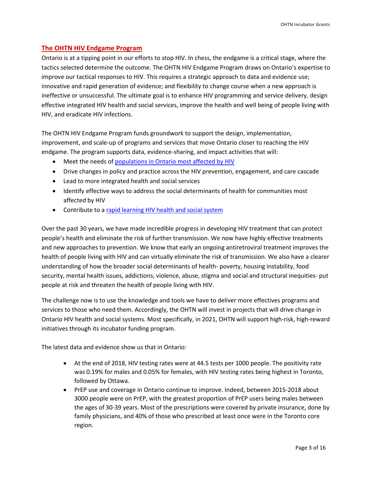# <span id="page-2-0"></span>**The OHTN HIV Endgame Program**

Ontario is at a tipping point in our efforts to stop HIV. In chess, the endgame is a critical stage, where the tactics selected determine the outcome. The OHTN HIV Endgame Program draws on Ontario's expertise to improve our tactical responses to HIV. This requires a strategic approach to data and evidence use; innovative and rapid generation of evidence; and flexibility to change course when a new approach is ineffective or unsuccessful. The ultimate goal is to enhance HIV programming and service delivery, design effective integrated HIV health and social services, improve the health and well being of people living with HIV, and eradicate HIV infections.

The OHTN HIV Endgame Program funds groundwork to support the design, implementation, improvement, and scale-up of programs and services that move Ontario closer to reaching the HIV endgame. The program supports data, evidence-sharing, and impact activities that will:

- Meet the needs of [populations in Ontario most affected by HIV](#page-4-2)
- Drive changes in policy and practice across the HIV prevention, engagement, and care cascade
- Lead to more integrated health and social services
- Identify effective ways to address the social determinants of health for communities most affected by HIV
- Contribute to a [rapid learning HIV health and social system](http://www.ohtn.on.ca/about/rapid-learning/)

Over the past 30 years, we have made incredible progress in developing HIV treatment that can protect people's health and eliminate the risk of further transmission. We now have highly effective treatments and new approaches to prevention. We know that early an ongoing antiretroviral treatment improves the health of people living with HIV and can virtually eliminate the risk of transmission. We also have a clearer understanding of how the broader social determinants of health- poverty, housing instability, food security, mental health issues, addictions, violence, abuse, stigma and social and structural inequities- put people at risk and threaten the health of people living with HIV.

The challenge now is to use the knowledge and tools we have to deliver more effectives programs and services to those who need them. Accordingly, the OHTN will invest in projects that will drive change in Ontario HIV health and social systems. Most specifically, in 2021, OHTN will support high-risk, high-reward initiatives through its incubator funding program.

The latest data and evidence show us that in Ontario:

- At the end of 2018, HIV testing rates were at 44.5 tests per 1000 people. The positivity rate was 0.19% for males and 0.05% for females, with HIV testing rates being highest in Toronto, followed by Ottawa.
- PrEP use and coverage in Ontario continue to improve. Indeed, between 2015-2018 about 3000 people were on PrEP, with the greatest proportion of PrEP users being males between the ages of 30-39 years. Most of the prescriptions were covered by private insurance, done by family physicians, and 40% of those who prescribed at least once were in the Toronto core region.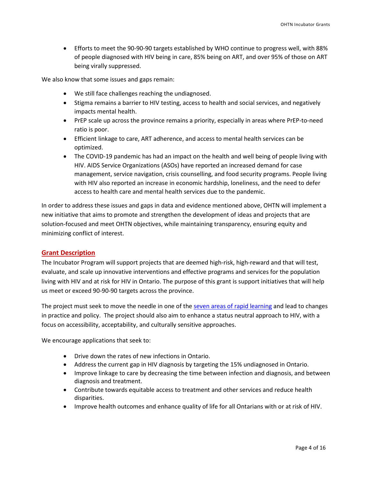• Efforts to meet the 90-90-90 targets established by WHO continue to progress well, with 88% of people diagnosed with HIV being in care, 85% being on ART, and over 95% of those on ART being virally suppressed.

We also know that some issues and gaps remain:

- We still face challenges reaching the undiagnosed.
- Stigma remains a barrier to HIV testing, access to health and social services, and negatively impacts mental health.
- PrEP scale up across the province remains a priority, especially in areas where PrEP-to-need ratio is poor.
- Efficient linkage to care, ART adherence, and access to mental health services can be optimized.
- The COVID-19 pandemic has had an impact on the health and well being of people living with HIV. AIDS Service Organizations (ASOs) have reported an increased demand for case management, service navigation, crisis counselling, and food security programs. People living with HIV also reported an increase in economic hardship, loneliness, and the need to defer access to health care and mental health services due to the pandemic.

In order to address these issues and gaps in data and evidence mentioned above, OHTN will implement a new initiative that aims to promote and strengthen the development of ideas and projects that are solution-focused and meet OHTN objectives, while maintaining transparency, ensuring equity and minimizing conflict of interest.

#### <span id="page-3-0"></span>**Grant Description**

The Incubator Program will support projects that are deemed high-risk, high-reward and that will test, evaluate, and scale up innovative interventions and effective programs and services for the population living with HIV and at risk for HIV in Ontario. The purpose of this grant is support initiatives that will help us meet or exceed 90-90-90 targets across the province.

The project must seek to move the needle in one of the [seven areas of rapid learning](#page-4-3) and lead to changes in practice and policy. The project should also aim to enhance a status neutral approach to HIV, with a focus on accessibility, acceptability, and culturally sensitive approaches.

We encourage applications that seek to:

- Drive down the rates of new infections in Ontario.
- Address the current gap in HIV diagnosis by targeting the 15% undiagnosed in Ontario.
- Improve linkage to care by decreasing the time between infection and diagnosis, and between diagnosis and treatment.
- Contribute towards equitable access to treatment and other services and reduce health disparities.
- Improve health outcomes and enhance quality of life for all Ontarians with or at risk of HIV.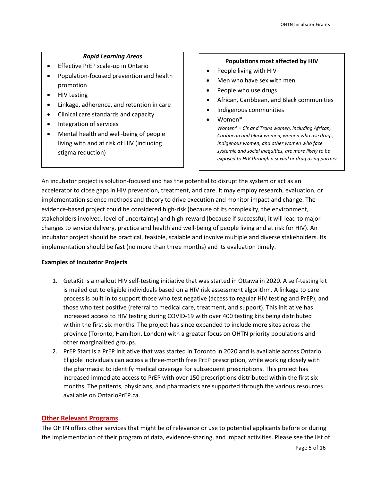#### *Rapid Learning Areas*

- <span id="page-4-3"></span>• Effective PrEP scale-up in Ontario
- Population-focused prevention and health promotion
- HIV testing
- Linkage, adherence, and retention in care
- Clinical care standards and capacity
- Integration of services
- Mental health and well-being of people living with and at risk of HIV (including stigma reduction)

## **Populations most affected by HIV**

- <span id="page-4-2"></span>• People living with HIV
- Men who have sex with men
- People who use drugs
- African, Caribbean, and Black communities
- Indigenous communities
- Women\*

*Women\* = Cis and Trans women, including African, Caribbean and black women, women who use drugs, Indigenous women, and other women who face systemic and social inequities, are more likely to be exposed to HIV through a sexual or drug using partner.*

<span id="page-4-0"></span>An incubator project is solution-focused and has the potential to disrupt the system or act as an accelerator to close gaps in HIV prevention, treatment, and care. It may employ research, evaluation, or implementation science methods and theory to drive execution and monitor impact and change. The evidence-based project could be considered high-risk (because of its complexity, the environment, stakeholders involved, level of uncertainty) and high-reward (because if successful, it will lead to major changes to service delivery, practice and health and well-being of people living and at risk for HIV). An incubator project should be practical, feasible, scalable and involve multiple and diverse stakeholders. Its implementation should be fast (no more than three months) and its evaluation timely.

# **Examples of Incubator Projects**

- 1. GetaKit is a mailout HIV self-testing initiative that was started in Ottawa in 2020. A self-testing kit is mailed out to eligible individuals based on a HIV risk assessment algorithm. A linkage to care process is built in to support those who test negative (access to regular HIV testing and PrEP), and those who test positive (referral to medical care, treatment, and support). This initiative has increased access to HIV testing during COVID-19 with over 400 testing kits being distributed within the first six months. The project has since expanded to include more sites across the province (Toronto, Hamilton, London) with a greater focus on OHTN priority populations and other marginalized groups.
- 2. PrEP Start is a PrEP initiative that was started in Toronto in 2020 and is available across Ontario. Eligible individuals can access a three-month free PrEP prescription, while working closely with the pharmacist to identify medical coverage for subsequent prescriptions. This project has increased immediate access to PrEP with over 150 prescriptions distributed within the first six months. The patients, physicians, and pharmacists are supported through the various resources available on OntarioPrEP.ca.

# <span id="page-4-1"></span>**Other Relevant Programs**

The OHTN offers other services that might be of relevance or use to potential applicants before or during the implementation of their program of data, evidence-sharing, and impact activities. Please see the list of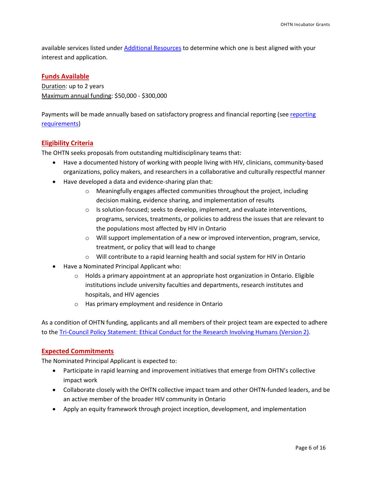available services listed under [Additional Resources](#page-11-4) to determine which one is best aligned with your interest and application.

# **Funds Available**

Duration: up to 2 years Maximum annual funding: \$50,000 - \$300,000

Payments will be made annually based on satisfactory progress and financial [reporting](#page-13-0) (see reporting [requirements\)](#page-13-0)

# <span id="page-5-0"></span>**Eligibility Criteria**

The OHTN seeks proposals from outstanding multidisciplinary teams that:

- Have a documented history of working with people living with HIV, clinicians, community-based organizations, policy makers, and researchers in a collaborative and culturally respectful manner
- Have developed a data and evidence-sharing plan that:
	- $\circ$  Meaningfully engages affected communities throughout the project, including decision making, evidence sharing, and implementation of results
	- o Is solution-focused; seeks to develop, implement, and evaluate interventions, programs, services, treatments, or policies to address the issues that are relevant to the populations most affected by HIV in Ontario
	- $\circ$  Will support implementation of a new or improved intervention, program, service, treatment, or policy that will lead to change
	- o Will contribute to a rapid learning health and social system for HIV in Ontario
- Have a Nominated Principal Applicant who:
	- $\circ$  Holds a primary appointment at an appropriate host organization in Ontario. Eligible institutions include university faculties and departments, research institutes and hospitals, and HIV agencies
	- o Has primary employment and residence in Ontario

As a condition of OHTN funding, applicants and all members of their project team are expected to adhere to the [Tri-Council Policy Statement: Ethical Conduct for the Research Involving Humans \(Version 2\).](http://www.pre.ethics.gc.ca/eng/policy-politique_tcps2-eptc2_2018.html)

# <span id="page-5-1"></span>**Expected Commitments**

The Nominated Principal Applicant is expected to:

- Participate in rapid learning and improvement initiatives that emerge from OHTN's collective impact work
- Collaborate closely with the OHTN collective impact team and other OHTN-funded leaders, and be an active member of the broader HIV community in Ontario
- Apply an equity framework through project inception, development, and implementation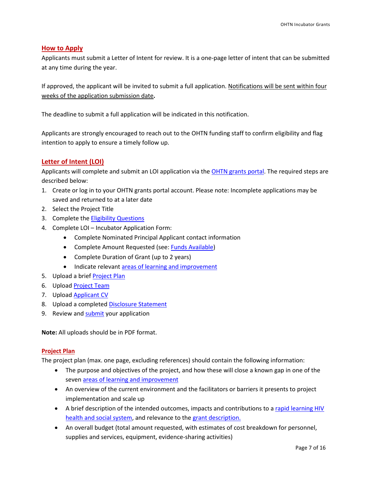## <span id="page-6-0"></span>**How to Apply**

Applicants must submit a Letter of Intent for review. It is a one-page letter of intent that can be submitted at any time during the year.

If approved, the applicant will be invited to submit a full application. Notifications will be sent within four weeks of the application submission date**.**

The deadline to submit a full application will be indicated in this notification.

Applicants are strongly encouraged to reach out to the OHTN funding staff to confirm eligibility and flag intention to apply to ensure a timely follow up.

# <span id="page-6-1"></span>**Letter of Intent (LOI)**

Applicants will complete and submit an LOI application via the [OHTN grants portal.](https://apply-ohtn-on.smapply.io/) The required steps are described below:

- 1. Create or log in to your OHTN grants portal account. Please note: Incomplete applications may be saved and returned to at a later date
- 2. Select the Project Title
- 3. Complete th[e Eligibility Questions](#page-5-0)
- 4. Complete LOI Incubator Application Form:
	- Complete Nominated Principal Applicant contact information
	- Complete Amount Requested (see: [Funds Available\)](#page-4-1)
	- Complete Duration of Grant (up to 2 years)
	- Indicate relevant [areas of learning and improvement](#page-4-3)
- 5. Upload a brief [Project Plan](#page-6-2)
- 6. Upload [Project Team](#page-7-0)
- 7. Upload **Applicant CV**
- 8. Upload a completed [Disclosure Statement](#page-7-2)
- 9. Review an[d submit](#page-11-0) your application

**Note:** All uploads should be in PDF format.

#### <span id="page-6-2"></span>**Project Plan**

The project plan (max. one page, excluding references) should contain the following information:

- The purpose and objectives of the project, and how these will close a known gap in one of the seve[n areas of learning and improvement](#page-4-3)
- An overview of the current environment and the facilitators or barriers it presents to project implementation and scale up
- A brief description of the intended outcomes, impacts and contributions to a rapid learning HIV [health and social system,](http://www.ohtn.on.ca/about/rapid-learning/) and relevance to the grant [description.](#page-3-0)
- An overall budget (total amount requested, with estimates of cost breakdown for personnel, supplies and services, equipment, evidence-sharing activities)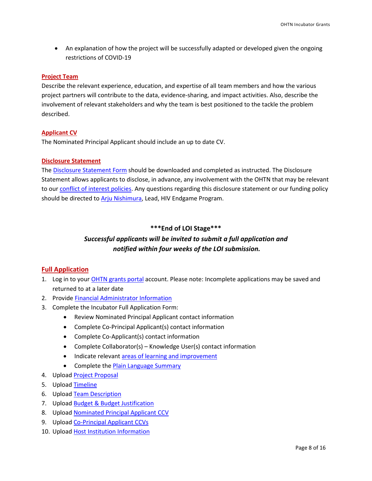• An explanation of how the project will be successfully adapted or developed given the ongoing restrictions of COVID-19

#### <span id="page-7-0"></span>**Project Team**

Describe the relevant experience, education, and expertise of all team members and how the various project partners will contribute to the data, evidence-sharing, and impact activities. Also, describe the involvement of relevant stakeholders and why the team is best positioned to the tackle the problem described.

## <span id="page-7-1"></span>**Applicant CV**

The Nominated Principal Applicant should include an up to date CV.

#### <span id="page-7-2"></span>**Disclosure Statement**

Th[e Disclosure Statement Form](http://www.ohtn.on.ca/wp-content/uploads/2018/10/OHTN-Disclosure-Statement-2018.doc) should be downloaded and completed as instructed. The Disclosure Statement allows applicants to disclose, in advance, any involvement with the OHTN that may be relevant to our [conflict of interest policies.](http://www.ohtn.on.ca/policies-and-guidelines/conflict-of-interest-policy/) Any questions regarding this disclosure statement or our funding policy should be directed to **Arju Nishimura**, Lead, HIV Endgame Program.

# **\*\*\*End of LOI Stage\*\*\***

# *Successful applicants will be invited to submit a full application and notified within four weeks of the LOI submission.*

# <span id="page-7-3"></span>**Full Application**

- 1. Log in to your [OHTN grants portal](https://apply-ohtn-on.smapply.io/) account. Please note: Incomplete applications may be saved and returned to at a later date
- 2. Provide [Financial Administrator Information](#page-8-0)
- 3. Complete the Incubator Full Application Form:
	- Review Nominated Principal Applicant contact information
	- Complete Co-Principal Applicant(s) contact information
	- Complete Co-Applicant(s) contact information
	- Complete Collaborator(s) Knowledge User(s) contact information
	- Indicate relevant [areas of learning and improvement](#page-4-3)
	- Complete the **Plain Language Summary**
- 4. Upload [Project Proposal](#page-8-2)
- 5. Upload [Timeline](#page-9-0)
- 6. Upload [Team Description](#page-9-1)
- 7. Upload [Budget & Budget Justification](#page-9-2)
- 8. Upload **Nominated Principal Applicant CCV**
- 9. Upload [Co-Principal Applicant](#page-10-1) CCVs
- 10. Upload [Host Institution Information](#page-10-2)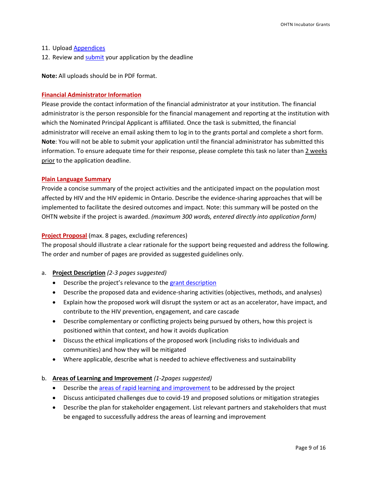#### 11. Upload [Appendices](#page-10-3)

12. Review an[d submit](#page-11-0) your application by the deadline

**Note:** All uploads should be in PDF format.

#### <span id="page-8-0"></span>**Financial Administrator Information**

Please provide the contact information of the financial administrator at your institution. The financial administrator is the person responsible for the financial management and reporting at the institution with which the Nominated Principal Applicant is affiliated. Once the task is submitted, the financial administrator will receive an email asking them to log in to the grants portal and complete a short form. **Note**: You will not be able to submit your application until the financial administrator has submitted this information. To ensure adequate time for their response, please complete this task no later than 2 weeks prior to the application deadline.

#### <span id="page-8-1"></span>**Plain Language Summary**

Provide a concise summary of the project activities and the anticipated impact on the population most affected by HIV and the HIV epidemic in Ontario. Describe the evidence-sharing approaches that will be implemented to facilitate the desired outcomes and impact. Note: this summary will be posted on the OHTN website if the project is awarded. *(maximum 300 words, entered directly into application form)*

#### <span id="page-8-2"></span>**Project Proposal** (max. 8 pages, excluding references)

The proposal should illustrate a clear rationale for the support being requested and address the following. The order and number of pages are provided as suggested guidelines only.

#### a. **Project Description** *(2-3 pages suggested)*

- Describe the project's relevance to the grant [description](#page-3-0)
- Describe the proposed data and evidence-sharing activities (objectives, methods, and analyses)
- Explain how the proposed work will disrupt the system or act as an accelerator, have impact, and contribute to the HIV prevention, engagement, and care cascade
- Describe complementary or conflicting projects being pursued by others, how this project is positioned within that context, and how it avoids duplication
- Discuss the ethical implications of the proposed work (including risks to individuals and communities) and how they will be mitigated
- Where applicable, describe what is needed to achieve effectiveness and sustainability

#### b. **Areas of Learning and Improvement** *(1-2pages suggested)*

- Describe the areas of rapid [learning and improvement](#page-4-3) to be addressed by the project
- Discuss anticipated challenges due to covid-19 and proposed solutions or mitigation strategies
- Describe the plan for stakeholder engagement. List relevant partners and stakeholders that must be engaged to successfully address the areas of learning and improvement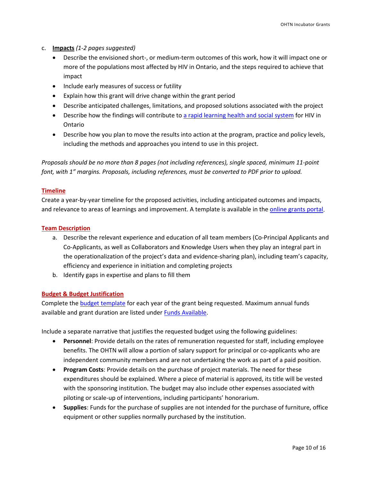- c. **Impacts** *(1-2 pages suggested)*
	- Describe the envisioned short-, or medium-term outcomes of this work, how it will impact one or more of the populations most affected by HIV in Ontario, and the steps required to achieve that impact
	- Include early measures of success or futility
	- Explain how this grant will drive change within the grant period
	- Describe anticipated challenges, limitations, and proposed solutions associated with the project
	- Describe how the findings will contribute to [a rapid learning health and social system](http://www.ohtn.on.ca/about/rapid-learning/) for HIV in Ontario
	- Describe how you plan to move the results into action at the program, practice and policy levels, including the methods and approaches you intend to use in this project.

*Proposals should be no more than 8 pages (not including references), single spaced, minimum 11-point font, with 1" margins. Proposals, including references, must be converted to PDF prior to upload.*

#### <span id="page-9-0"></span>**Timeline**

Create a year-by-year timeline for the proposed activities, including anticipated outcomes and impacts, and relevance to areas of learnings and improvement. A template is available in the [online grants portal.](https://apply-ohtn-on.smapply.io/)

#### <span id="page-9-1"></span>**Team Description**

- a. Describe the relevant experience and education of all team members (Co-Principal Applicants and Co-Applicants, as well as Collaborators and Knowledge Users when they play an integral part in the operationalization of the project's data and evidence-sharing plan), including team's capacity, efficiency and experience in initiation and completing projects
- b. Identify gaps in expertise and plans to fill them

# <span id="page-9-2"></span>**Budget & Budget Justification**

Complete the **budget template** for each year of the grant being requested. Maximum annual funds available and grant duration are listed under [Funds Available.](#page-4-1)

Include a separate narrative that justifies the requested budget using the following guidelines:

- **Personnel**: Provide details on the rates of remuneration requested for staff, including employee benefits. The OHTN will allow a portion of salary support for principal or co-applicants who are independent community members and are not undertaking the work as part of a paid position.
- **Program Costs**: Provide details on the purchase of project materials. The need for these expenditures should be explained. Where a piece of material is approved, its title will be vested with the sponsoring institution. The budget may also include other expenses associated with piloting or scale-up of interventions, including participants' honorarium.
- **Supplies**: Funds for the purchase of supplies are not intended for the purchase of furniture, office equipment or other supplies normally purchased by the institution.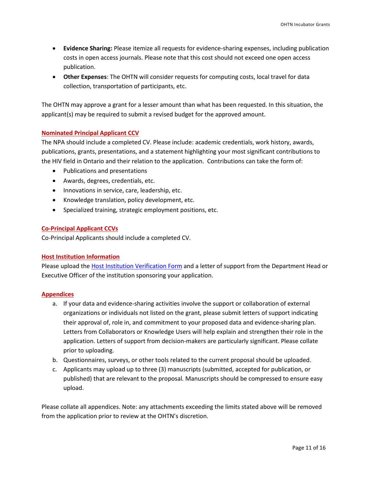- **Evidence Sharing:** Please itemize all requests for evidence-sharing expenses, including publication costs in open access journals. Please note that this cost should not exceed one open access publication.
- **Other Expenses**: The OHTN will consider requests for computing costs, local travel for data collection, transportation of participants, etc.

The OHTN may approve a grant for a lesser amount than what has been requested. In this situation, the applicant(s) may be required to submit a revised budget for the approved amount.

## <span id="page-10-0"></span>**Nominated Principal Applicant CCV**

The NPA should include a completed CV. Please include: academic credentials, work history, awards, publications, grants, presentations, and a statement highlighting your most significant contributions to the HIV field in Ontario and their relation to the application. Contributions can take the form of:

- Publications and presentations
- Awards, degrees, credentials, etc.
- Innovations in service, care, leadership, etc.
- Knowledge translation, policy development, etc.
- Specialized training, strategic employment positions, etc.

## <span id="page-10-1"></span>**Co-Principal Applicant CCVs**

Co-Principal Applicants should include a completed CV.

#### <span id="page-10-2"></span>**Host Institution Information**

Please upload the **Host Institution Verification Form** and a letter of support from the Department Head or Executive Officer of the institution sponsoring your application.

#### <span id="page-10-3"></span>**Appendices**

- a. If your data and evidence-sharing activities involve the support or collaboration of external organizations or individuals not listed on the grant, please submit letters of support indicating their approval of, role in, and commitment to your proposed data and evidence-sharing plan. Letters from Collaborators or Knowledge Users will help explain and strengthen their role in the application. Letters of support from decision-makers are particularly significant. Please collate prior to uploading.
- b. Questionnaires, surveys, or other tools related to the current proposal should be uploaded.
- c. Applicants may upload up to three (3) manuscripts (submitted, accepted for publication, or published) that are relevant to the proposal*.* Manuscripts should be compressed to ensure easy upload.

Please collate all appendices. Note: any attachments exceeding the limits stated above will be removed from the application prior to review at the OHTN's discretion.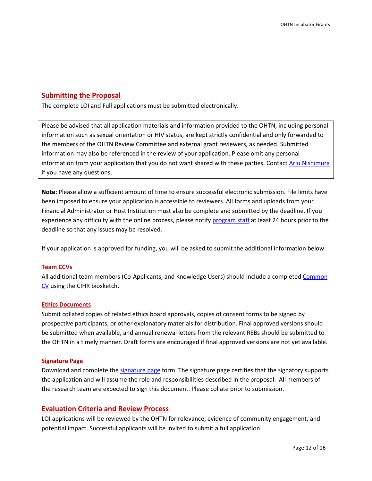# <span id="page-11-0"></span>**Submitting the Proposal**

The complete LOI and Full applications must be submitted electronically.

Please be advised that all application materials and information provided to the OHTN, including personal information such as sexual orientation or HIV status, are kept strictly confidential and only forwarded to the members of the OHTN Review Committee and external grant reviewers, as needed. Submitted information may also be referenced in the review of your application. Please omit any personal information from your application that you do not want shared with these parties. Contact [Arju Nishimura](mailto:anishimura@ohtn.on.ca) if you have any questions.

**Note:** Please allow a sufficient amount of time to ensure successful electronic submission. File limits have been imposed to ensure your application is accessible to reviewers. All forms and uploads from your Financial Administrator or Host Institution must also be complete and submitted by the deadline. If you experience any difficulty with the online process, please notif[y program](mailto:funding@ohtn.on.ca?subject=Technical%20Issue%20with%20OHTN%20Online%20Application%20Portal) staff at least 24 hours prior to the deadline so that any issues may be resolved.

If your application is approved for funding, you will be asked to submit the additional information below:

# <span id="page-11-1"></span>**Team CCVs**

All additional team members (Co-Applicants, and Knowledge Users) should include a completed Common [CV](https://ccv-cvc.ca/indexresearcher-eng.frm) using the CIHR biosketch.

# <span id="page-11-2"></span>**Ethics Documents**

Submit collated copies of related ethics board approvals, copies of consent forms to be signed by prospective participants, or other explanatory materials for distribution. Final approved versions should be submitted when available, and annual renewal letters from the relevant REBs should be submitted to the OHTN in a timely manner*.* Draft forms are encouraged if final approved versions are not yet available.

#### <span id="page-11-3"></span>**Signature Page**

Download and complete the [signature page](http://www.ohtn.on.ca/wp-content/uploads/2018/10/Signature_Page-2018.doc) form. The signature page certifies that the signatory supports the application and will assume the role and responsibilities described in the proposal. All members of the research team are expected to sign this document. Please collate prior to submission.

# <span id="page-11-4"></span>**Evaluation Criteria and Review Process**

LOI applications will be reviewed by the OHTN for relevance, evidence of community engagement, and potential impact. Successful applicants will be invited to submit a full application.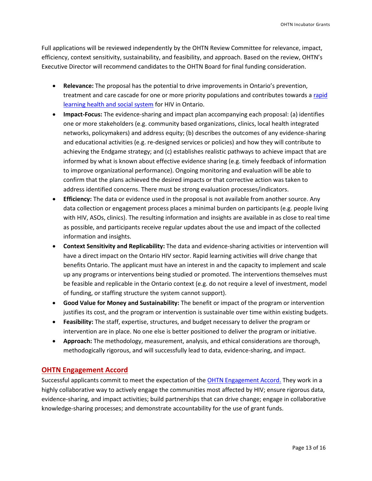Full applications will be reviewed independently by the OHTN Review Committee for relevance, impact, efficiency, context sensitivity, sustainability, and feasibility, and approach. Based on the review, OHTN's Executive Director will recommend candidates to the OHTN Board for final funding consideration.

- **Relevance:** The proposal has the potential to drive improvements in Ontario's prevention, treatment and care cascade for one or more priority populations and contributes towards a rapid [learning health and social system](http://www.ohtn.on.ca/about/rapid-learning/) for HIV in Ontario.
- **Impact-Focus:** The evidence-sharing and impact plan accompanying each proposal: (a) identifies one or more stakeholders (e.g. community based organizations, clinics, local health integrated networks, policymakers) and address equity; (b) describes the outcomes of any evidence-sharing and educational activities (e.g. re-designed services or policies) and how they will contribute to achieving the Endgame strategy; and (c) establishes realistic pathways to achieve impact that are informed by what is known about effective evidence sharing (e.g. timely feedback of information to improve organizational performance). Ongoing monitoring and evaluation will be able to confirm that the plans achieved the desired impacts or that corrective action was taken to address identified concerns. There must be strong evaluation processes/indicators.
- **Efficiency:** The data or evidence used in the proposal is not available from another source. Any data collection or engagement process places a minimal burden on participants (e.g. people living with HIV, ASOs, clinics). The resulting information and insights are available in as close to real time as possible, and participants receive regular updates about the use and impact of the collected information and insights.
- **Context Sensitivity and Replicability:** The data and evidence-sharing activities or intervention will have a direct impact on the Ontario HIV sector. Rapid learning activities will drive change that benefits Ontario. The applicant must have an interest in and the capacity to implement and scale up any programs or interventions being studied or promoted. The interventions themselves must be feasible and replicable in the Ontario context (e.g. do not require a level of investment, model of funding, or staffing structure the system cannot support).
- **Good Value for Money and Sustainability:** The benefit or impact of the program or intervention justifies its cost, and the program or intervention is sustainable over time within existing budgets.
- **Feasibility:** The staff, expertise, structures, and budget necessary to deliver the program or intervention are in place. No one else is better positioned to deliver the program or initiative.
- **Approach:** The methodology, measurement, analysis, and ethical considerations are thorough, methodogically rigorous, and will successfully lead to data, evidence-sharing, and impact.

# <span id="page-12-0"></span>**OHTN Engagement Accord**

Successful applicants commit to meet the expectation of the [OHTN Engagement Accord.](http://www.ohtn.on.ca/wp-content/uploads/research-funding/OHTN-Engagement-Accord.pdf) They work in a highly collaborative way to actively engage the communities most affected by HIV; ensure rigorous data, evidence-sharing, and impact activities; build partnerships that can drive change; engage in collaborative knowledge-sharing processes; and demonstrate accountability for the use of grant funds.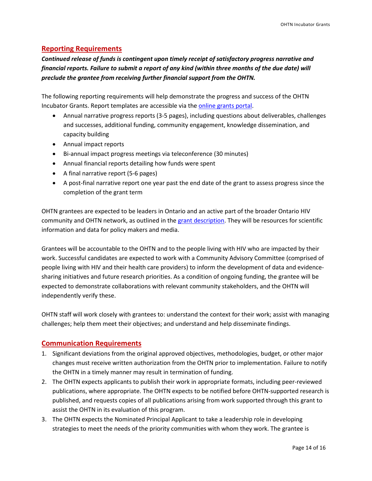# <span id="page-13-0"></span>**Reporting Requirements**

# *Continued release of funds is contingent upon timely receipt of satisfactory progress narrative and financial reports. Failure to submit a report of any kind (within three months of the due date) will preclude the grantee from receiving further financial support from the OHTN.*

The following reporting requirements will help demonstrate the progress and success of the OHTN Incubator Grants. Report templates are accessible via the [online grants portal.](https://apply-ohtn-on.smapply.io/)

- Annual narrative progress reports (3-5 pages), including questions about deliverables, challenges and successes, additional funding, community engagement, knowledge dissemination, and capacity building
- Annual impact reports
- Bi-annual impact progress meetings via teleconference (30 minutes)
- Annual financial reports detailing how funds were spent
- A final narrative report (5-6 pages)
- A post-final narrative report one year past the end date of the grant to assess progress since the completion of the grant term

OHTN grantees are expected to be leaders in Ontario and an active part of the broader Ontario HIV community and OHTN network, as outlined in the grant [description.](#page-3-0) They will be resources for scientific information and data for policy makers and media.

Grantees will be accountable to the OHTN and to the people living with HIV who are impacted by their work. Successful candidates are expected to work with a Community Advisory Committee (comprised of people living with HIV and their health care providers) to inform the development of data and evidencesharing initiatives and future research priorities. As a condition of ongoing funding, the grantee will be expected to demonstrate collaborations with relevant community stakeholders, and the OHTN will independently verify these.

OHTN staff will work closely with grantees to: understand the context for their work; assist with managing challenges; help them meet their objectives; and understand and help disseminate findings.

# <span id="page-13-1"></span>**Communication Requirements**

- 1. Significant deviations from the original approved objectives, methodologies, budget, or other major changes must receive written authorization from the OHTN prior to implementation. Failure to notify the OHTN in a timely manner may result in termination of funding.
- 2. The OHTN expects applicants to publish their work in appropriate formats, including peer-reviewed publications, where appropriate. The OHTN expects to be notified before OHTN-supported research is published, and requests copies of all publications arising from work supported through this grant to assist the OHTN in its evaluation of this program.
- 3. The OHTN expects the Nominated Principal Applicant to take a leadership role in developing strategies to meet the needs of the priority communities with whom they work. The grantee is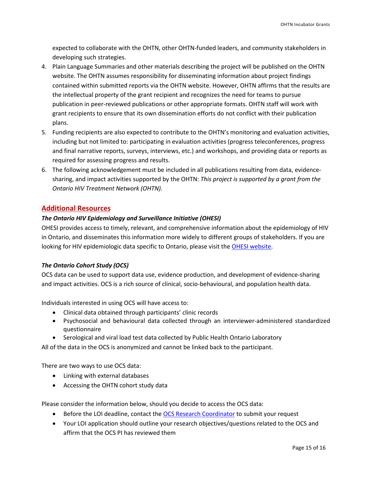expected to collaborate with the OHTN, other OHTN-funded leaders, and community stakeholders in developing such strategies.

- 4. Plain Language Summaries and other materials describing the project will be published on the OHTN website. The OHTN assumes responsibility for disseminating information about project findings contained within submitted reports via the OHTN website. However, OHTN affirms that the results are the intellectual property of the grant recipient and recognizes the need for teams to pursue publication in peer-reviewed publications or other appropriate formats. OHTN staff will work with grant recipients to ensure that its own dissemination efforts do not conflict with their publication plans.
- 5. Funding recipients are also expected to contribute to the OHTN's monitoring and evaluation activities, including but not limited to: participating in evaluation activities (progress teleconferences, progress and final narrative reports, surveys, interviews, etc.) and workshops, and providing data or reports as required for assessing progress and results.
- 6. The following acknowledgement must be included in all publications resulting from data, evidencesharing, and impact activities supported by the OHTN: *This project is supported by a grant from the Ontario HIV Treatment Network (OHTN).*

# **Additional Resources**

## *The Ontario HIV Epidemiology and Surveillance Initiative (OHESI)*

OHESI provides access to timely, relevant, and comprehensive information about the epidemiology of HIV in Ontario, and disseminates this information more widely to different groups of stakeholders. If you are looking for HIV epidemiologic data specific to Ontario, please visit th[e OHESI website.](http://www.ohesi.ca/)

#### *The Ontario Cohort Study (OCS)*

OCS data can be used to support data use, evidence production, and development of evidence-sharing and impact activities. OCS is a rich source of clinical, socio-behavioural, and population health data.

Individuals interested in using OCS will have access to:

- Clinical data obtained through participants' clinic records
- Psychosocial and behavioural data collected through an interviewer-administered standardized questionnaire
- Serological and viral load test data collected by Public Health Ontario Laboratory

All of the data in the OCS is anonymized and cannot be linked back to the participant.

There are two ways to use OCS data:

- Linking with external databases
- Accessing the OHTN cohort study data

Please consider the information below, should you decide to access the OCS data:

- Before the LOI deadline, contact th[e OCS Research Coordinator](mailto:ocsinfo@ohtn.on.ca) to submit your request
- Your LOI application should outline your research objectives/questions related to the OCS and affirm that the OCS PI has reviewed them